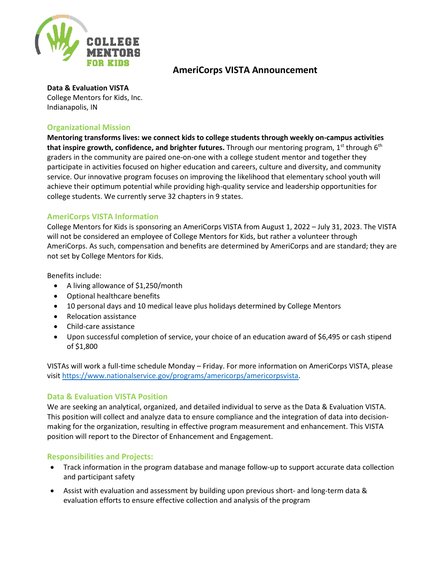

# **AmeriCorps VISTA Announcement**

#### **Data & Evaluation VISTA**

College Mentors for Kids, Inc. Indianapolis, IN

#### **Organizational Mission**

**Mentoring transforms lives: we connect kids to college students through weekly on-campus activities that inspire growth, confidence, and brighter futures.** Through our mentoring program, 1<sup>st</sup> through 6<sup>th</sup> graders in the community are paired one-on-one with a college student mentor and together they participate in activities focused on higher education and careers, culture and diversity, and community service. Our innovative program focuses on improving the likelihood that elementary school youth will achieve their optimum potential while providing high-quality service and leadership opportunities for college students. We currently serve 32 chapters in 9 states.

## **AmeriCorps VISTA Information**

College Mentors for Kids is sponsoring an AmeriCorps VISTA from August 1, 2022 – July 31, 2023. The VISTA will not be considered an employee of College Mentors for Kids, but rather a volunteer through AmeriCorps. As such, compensation and benefits are determined by AmeriCorps and are standard; they are not set by College Mentors for Kids.

Benefits include:

- A living allowance of \$1,250/month
- Optional healthcare benefits
- 10 personal days and 10 medical leave plus holidays determined by College Mentors
- Relocation assistance
- Child-care assistance
- Upon successful completion of service, your choice of an education award of \$6,495 or cash stipend of \$1,800

VISTAs will work a full-time schedule Monday – Friday. For more information on AmeriCorps VISTA, please visit [https://www.nationalservice.gov/programs/americorps/americorpsvista.](https://www.nationalservice.gov/programs/americorps/americorpsvista)

#### **Data & Evaluation VISTA Position**

We are seeking an analytical, organized, and detailed individual to serve as the Data & Evaluation VISTA. This position will collect and analyze data to ensure compliance and the integration of data into decisionmaking for the organization, resulting in effective program measurement and enhancement. This VISTA position will report to the Director of Enhancement and Engagement.

#### **Responsibilities and Projects:**

- Track information in the program database and manage follow-up to support accurate data collection and participant safety
- Assist with evaluation and assessment by building upon previous short- and long-term data & evaluation efforts to ensure effective collection and analysis of the program